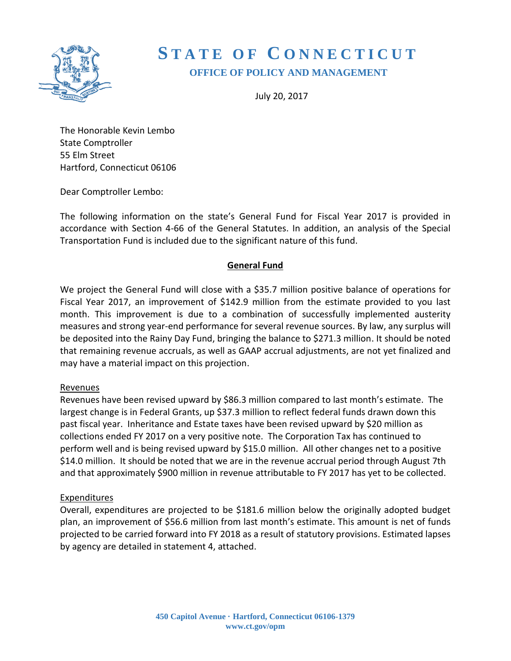

# **S T A T E O F C O N N E C T I C U T OFFICE OF POLICY AND MANAGEMENT**

July 20, 2017

The Honorable Kevin Lembo State Comptroller 55 Elm Street Hartford, Connecticut 06106

Dear Comptroller Lembo:

The following information on the state's General Fund for Fiscal Year 2017 is provided in accordance with Section 4-66 of the General Statutes. In addition, an analysis of the Special Transportation Fund is included due to the significant nature of this fund.

#### **General Fund**

We project the General Fund will close with a \$35.7 million positive balance of operations for Fiscal Year 2017, an improvement of \$142.9 million from the estimate provided to you last month. This improvement is due to a combination of successfully implemented austerity measures and strong year-end performance for several revenue sources. By law, any surplus will be deposited into the Rainy Day Fund, bringing the balance to \$271.3 million. It should be noted that remaining revenue accruals, as well as GAAP accrual adjustments, are not yet finalized and may have a material impact on this projection.

#### Revenues

Revenues have been revised upward by \$86.3 million compared to last month's estimate. The largest change is in Federal Grants, up \$37.3 million to reflect federal funds drawn down this past fiscal year. Inheritance and Estate taxes have been revised upward by \$20 million as collections ended FY 2017 on a very positive note. The Corporation Tax has continued to perform well and is being revised upward by \$15.0 million. All other changes net to a positive \$14.0 million. It should be noted that we are in the revenue accrual period through August 7th and that approximately \$900 million in revenue attributable to FY 2017 has yet to be collected.

#### Expenditures

Overall, expenditures are projected to be \$181.6 million below the originally adopted budget plan, an improvement of \$56.6 million from last month's estimate. This amount is net of funds projected to be carried forward into FY 2018 as a result of statutory provisions. Estimated lapses by agency are detailed in statement 4, attached.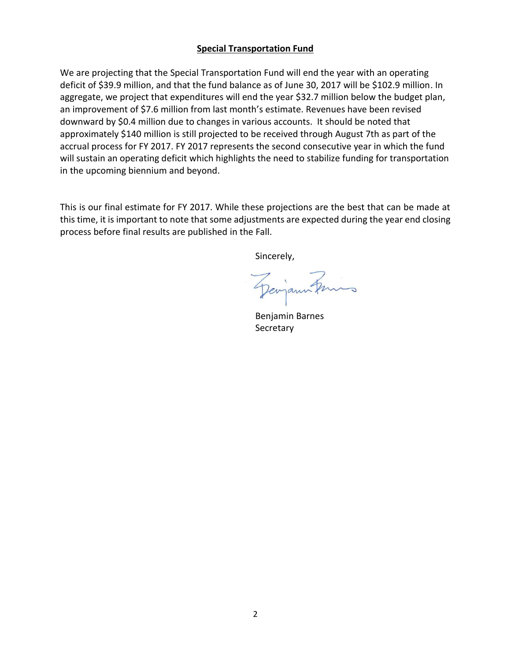#### **Special Transportation Fund**

We are projecting that the Special Transportation Fund will end the year with an operating deficit of \$39.9 million, and that the fund balance as of June 30, 2017 will be \$102.9 million. In aggregate, we project that expenditures will end the year \$32.7 million below the budget plan, an improvement of \$7.6 million from last month's estimate. Revenues have been revised downward by \$0.4 million due to changes in various accounts. It should be noted that approximately \$140 million is still projected to be received through August 7th as part of the accrual process for FY 2017. FY 2017 represents the second consecutive year in which the fund will sustain an operating deficit which highlights the need to stabilize funding for transportation in the upcoming biennium and beyond.

This is our final estimate for FY 2017. While these projections are the best that can be made at this time, it is important to note that some adjustments are expected during the year end closing process before final results are published in the Fall.

Sincerely,

Deviann knis

Benjamin Barnes **Secretary**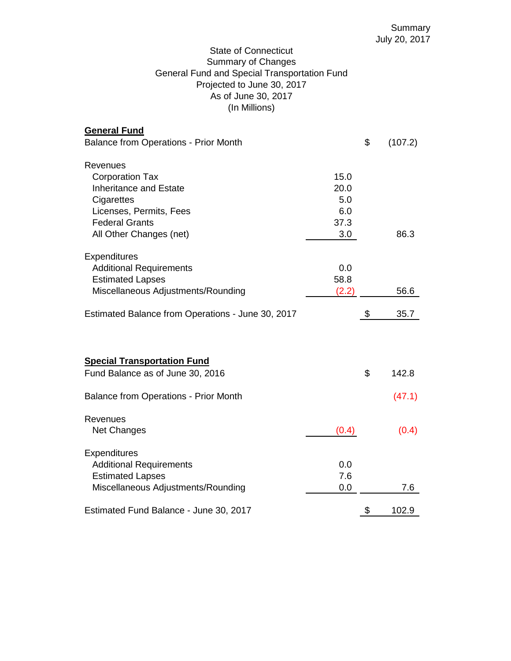## State of Connecticut Summary of Changes General Fund and Special Transportation Fund Projected to June 30, 2017 As of June 30, 2017 (In Millions)

| <b>General Fund</b><br><b>Balance from Operations - Prior Month</b> |       | \$<br>(107.2) |
|---------------------------------------------------------------------|-------|---------------|
| Revenues                                                            |       |               |
| <b>Corporation Tax</b>                                              | 15.0  |               |
| <b>Inheritance and Estate</b>                                       | 20.0  |               |
| Cigarettes                                                          | 5.0   |               |
| Licenses, Permits, Fees                                             | 6.0   |               |
| <b>Federal Grants</b>                                               | 37.3  |               |
| All Other Changes (net)                                             | 3.0   | 86.3          |
| Expenditures                                                        |       |               |
| <b>Additional Requirements</b>                                      | 0.0   |               |
| <b>Estimated Lapses</b>                                             | 58.8  |               |
| Miscellaneous Adjustments/Rounding                                  | (2.2) | 56.6          |
| Estimated Balance from Operations - June 30, 2017                   |       | \$<br>35.7    |
|                                                                     |       |               |
| <b>Special Transportation Fund</b>                                  |       |               |
| Fund Balance as of June 30, 2016                                    |       | \$<br>142.8   |
| <b>Balance from Operations - Prior Month</b>                        |       | (47.1)        |
| Revenues                                                            |       |               |
| Net Changes                                                         | (0.4) | (0.4)         |
| Expenditures                                                        |       |               |
| <b>Additional Requirements</b>                                      | 0.0   |               |
| <b>Estimated Lapses</b>                                             | 7.6   |               |
| Miscellaneous Adjustments/Rounding                                  | 0.0   | 7.6           |
| Estimated Fund Balance - June 30, 2017                              |       | \$<br>102.9   |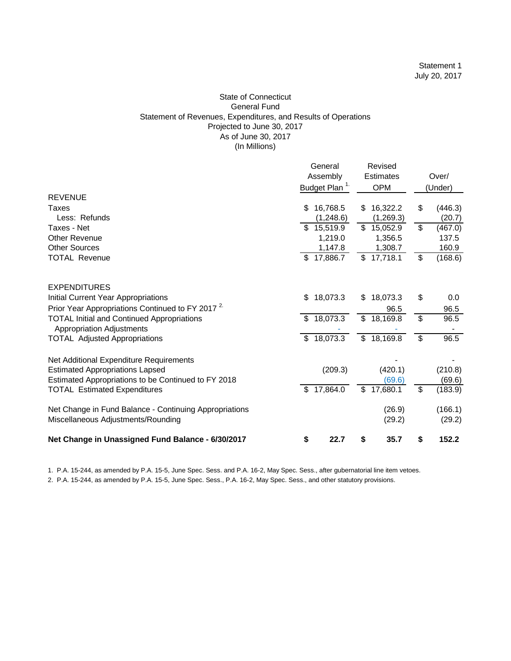#### State of Connecticut General Fund Statement of Revenues, Expenditures, and Results of Operations Projected to June 30, 2017 As of June 30, 2017 (In Millions)

|                                                                                       | General<br>Assembly<br>Budget Plan <sup>1.</sup> |                         | Revised<br><b>Estimates</b><br><b>OPM</b> |    | Over/<br>(Under)  |  |
|---------------------------------------------------------------------------------------|--------------------------------------------------|-------------------------|-------------------------------------------|----|-------------------|--|
| <b>REVENUE</b>                                                                        |                                                  |                         |                                           |    |                   |  |
| Taxes<br>Less: Refunds                                                                | \$<br>16,768.5<br>(1,248.6)                      | \$                      | 16,322.2<br>(1,269.3)                     | \$ | (446.3)<br>(20.7) |  |
| Taxes - Net                                                                           | \$15,519.9                                       | $\overline{\mathbf{s}}$ | 15,052.9                                  | \$ | (467.0)           |  |
| Other Revenue                                                                         | 1,219.0                                          |                         | 1,356.5                                   |    | 137.5             |  |
| <b>Other Sources</b>                                                                  | 1,147.8                                          |                         | 1,308.7                                   |    | 160.9             |  |
| <b>TOTAL Revenue</b>                                                                  | \$17,886.7                                       |                         | \$17,718.1                                | \$ | (168.6)           |  |
| <b>EXPENDITURES</b>                                                                   |                                                  |                         |                                           |    |                   |  |
| Initial Current Year Appropriations                                                   | \$<br>18,073.3                                   | \$                      | 18,073.3                                  | \$ | 0.0               |  |
| Prior Year Appropriations Continued to FY 2017 <sup>2</sup>                           |                                                  |                         | 96.5                                      |    | 96.5              |  |
| <b>TOTAL Initial and Continued Appropriations</b><br><b>Appropriation Adjustments</b> | \$18,073.3                                       |                         | \$18,169.8                                | \$ | 96.5              |  |
| <b>TOTAL Adjusted Appropriations</b>                                                  | \$18,073.3                                       |                         | \$18,169.8                                | \$ | 96.5              |  |
| Net Additional Expenditure Requirements                                               |                                                  |                         |                                           |    |                   |  |
| <b>Estimated Appropriations Lapsed</b>                                                | (209.3)                                          |                         | (420.1)                                   |    | (210.8)           |  |
| Estimated Appropriations to be Continued to FY 2018                                   |                                                  | $\mathfrak{L}$          | (69.6)                                    | \$ | (69.6)            |  |
| <b>TOTAL Estimated Expenditures</b>                                                   | \$<br>17,864.0                                   |                         | 17,680.1                                  |    | (183.9)           |  |
| Net Change in Fund Balance - Continuing Appropriations                                |                                                  |                         | (26.9)                                    |    | (166.1)           |  |
| Miscellaneous Adjustments/Rounding                                                    |                                                  |                         | (29.2)                                    |    | (29.2)            |  |
| Net Change in Unassigned Fund Balance - 6/30/2017                                     | \$<br>22.7                                       | \$                      | 35.7                                      | \$ | 152.2             |  |

1. P.A. 15-244, as amended by P.A. 15-5, June Spec. Sess. and P.A. 16-2, May Spec. Sess., after gubernatorial line item vetoes.

2. P.A. 15-244, as amended by P.A. 15-5, June Spec. Sess., P.A. 16-2, May Spec. Sess., and other statutory provisions.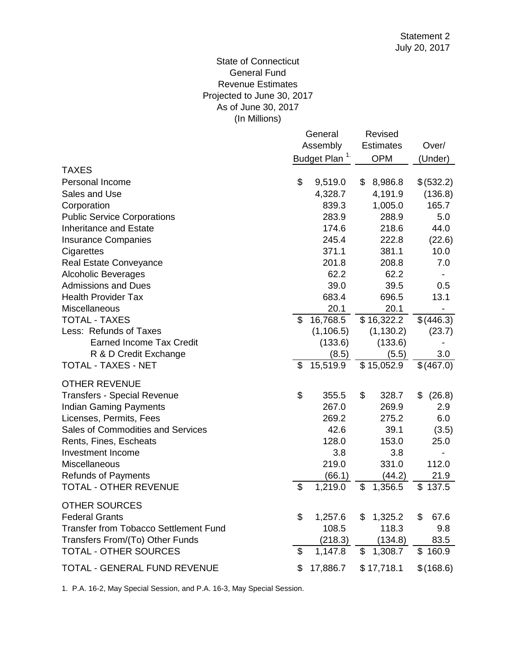## (In Millions) State of Connecticut General Fund Revenue Estimates Projected to June 30, 2017 As of June 30, 2017

|                                          |               | General<br>Assembly<br>Budget Plan <sup>1</sup> |    | Revised<br><b>Estimates</b><br><b>OPM</b> |    | Over/<br>(Under) |
|------------------------------------------|---------------|-------------------------------------------------|----|-------------------------------------------|----|------------------|
| <b>TAXES</b>                             |               |                                                 |    |                                           |    |                  |
| Personal Income                          | \$            | 9,519.0                                         | \$ | 8,986.8                                   |    | \$(532.2)        |
| Sales and Use                            |               | 4,328.7                                         |    | 4,191.9                                   |    | (136.8)          |
| Corporation                              |               | 839.3                                           |    | 1,005.0                                   |    | 165.7            |
| <b>Public Service Corporations</b>       |               | 283.9                                           |    | 288.9                                     |    | 5.0              |
| <b>Inheritance and Estate</b>            |               | 174.6                                           |    | 218.6                                     |    | 44.0             |
| <b>Insurance Companies</b>               |               | 245.4                                           |    | 222.8                                     |    | (22.6)           |
| Cigarettes                               |               | 371.1                                           |    | 381.1                                     |    | 10.0             |
| <b>Real Estate Conveyance</b>            |               | 201.8                                           |    | 208.8                                     |    | 7.0              |
| <b>Alcoholic Beverages</b>               |               | 62.2                                            |    | 62.2                                      |    |                  |
| <b>Admissions and Dues</b>               |               | 39.0                                            |    | 39.5                                      |    | 0.5              |
| <b>Health Provider Tax</b>               |               | 683.4                                           |    | 696.5                                     |    | 13.1             |
| Miscellaneous                            |               | 20.1                                            |    | 20.1                                      |    | -                |
| <b>TOTAL - TAXES</b>                     | \$            | 16,768.5                                        |    | \$16,322.2                                |    | \$(446.3)        |
| Less: Refunds of Taxes                   |               | (1, 106.5)                                      |    | (1, 130.2)                                |    | (23.7)           |
| <b>Earned Income Tax Credit</b>          |               | (133.6)                                         |    | (133.6)                                   |    |                  |
| R & D Credit Exchange                    |               | (8.5)                                           |    | (5.5)                                     |    | 3.0              |
| TOTAL - TAXES - NET                      | \$            | 15,519.9                                        |    | \$15,052.9                                |    | \$(467.0)        |
| <b>OTHER REVENUE</b>                     |               |                                                 |    |                                           |    |                  |
| <b>Transfers - Special Revenue</b>       | \$            | 355.5                                           | \$ | 328.7                                     | \$ | (26.8)           |
| <b>Indian Gaming Payments</b>            |               | 267.0                                           |    | 269.9                                     |    | 2.9              |
| Licenses, Permits, Fees                  |               | 269.2                                           |    | 275.2                                     |    | 6.0              |
| <b>Sales of Commodities and Services</b> |               | 42.6                                            |    | 39.1                                      |    | (3.5)            |
| Rents, Fines, Escheats                   |               | 128.0                                           |    | 153.0                                     |    | 25.0             |
| Investment Income                        |               | 3.8                                             |    | 3.8                                       |    |                  |
| Miscellaneous                            |               | 219.0                                           |    | 331.0                                     |    | 112.0            |
| <b>Refunds of Payments</b>               |               | (66.1)                                          |    | (44.2)                                    |    | 21.9             |
| <b>TOTAL - OTHER REVENUE</b>             | \$            | 1,219.0                                         | \$ | 1,356.5                                   |    | \$137.5          |
| <b>OTHER SOURCES</b>                     |               |                                                 |    |                                           |    |                  |
| <b>Federal Grants</b>                    | \$            | 1,257.6                                         | \$ | 1,325.2                                   | \$ | 67.6             |
| Transfer from Tobacco Settlement Fund    |               | 108.5                                           |    | 118.3                                     |    | 9.8              |
| Transfers From/(To) Other Funds          |               | (218.3)                                         |    | (134.8)                                   |    | 83.5             |
| <b>TOTAL - OTHER SOURCES</b>             | $\mathcal{S}$ | 1,147.8                                         | \$ | 1,308.7                                   |    | \$160.9          |
| TOTAL - GENERAL FUND REVENUE             | \$            | 17,886.7                                        |    | \$17,718.1                                |    | \$(168.6)        |
|                                          |               |                                                 |    |                                           |    |                  |

1. P.A. 16-2, May Special Session, and P.A. 16-3, May Special Session.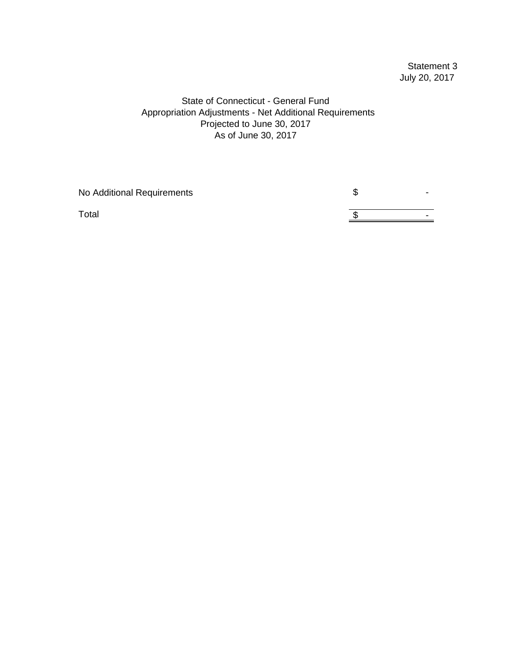# Statement 3 July 20, 2017

## State of Connecticut - General Fund Appropriation Adjustments - Net Additional Requirements As of June 30, 2017 Projected to June 30, 2017

| No Additional Requirements | w |   |
|----------------------------|---|---|
| Total                      |   | - |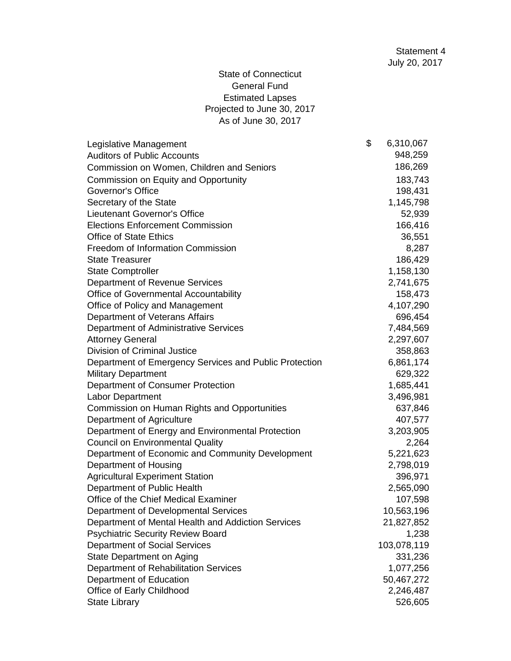# State of Connecticut General Fund Estimated Lapses Projected to June 30, 2017 As of June 30, 2017

| Legislative Management                                 | \$<br>6,310,067 |
|--------------------------------------------------------|-----------------|
| <b>Auditors of Public Accounts</b>                     | 948,259         |
| Commission on Women, Children and Seniors              | 186,269         |
| Commission on Equity and Opportunity                   | 183,743         |
| <b>Governor's Office</b>                               | 198,431         |
| Secretary of the State                                 | 1,145,798       |
| <b>Lieutenant Governor's Office</b>                    | 52,939          |
| <b>Elections Enforcement Commission</b>                | 166,416         |
| <b>Office of State Ethics</b>                          | 36,551          |
| <b>Freedom of Information Commission</b>               | 8,287           |
| <b>State Treasurer</b>                                 | 186,429         |
| <b>State Comptroller</b>                               | 1,158,130       |
| Department of Revenue Services                         | 2,741,675       |
| Office of Governmental Accountability                  | 158,473         |
| Office of Policy and Management                        | 4,107,290       |
| Department of Veterans Affairs                         | 696,454         |
| Department of Administrative Services                  | 7,484,569       |
| <b>Attorney General</b>                                | 2,297,607       |
| <b>Division of Criminal Justice</b>                    | 358,863         |
| Department of Emergency Services and Public Protection | 6,861,174       |
| <b>Military Department</b>                             | 629,322         |
| Department of Consumer Protection                      | 1,685,441       |
| Labor Department                                       | 3,496,981       |
| Commission on Human Rights and Opportunities           | 637,846         |
| Department of Agriculture                              | 407,577         |
| Department of Energy and Environmental Protection      | 3,203,905       |
| <b>Council on Environmental Quality</b>                | 2,264           |
| Department of Economic and Community Development       | 5,221,623       |
| Department of Housing                                  | 2,798,019       |
| <b>Agricultural Experiment Station</b>                 | 396,971         |
| Department of Public Health                            | 2,565,090       |
| Office of the Chief Medical Examiner                   | 107,598         |
| Department of Developmental Services                   | 10,563,196      |
| Department of Mental Health and Addiction Services     | 21,827,852      |
| <b>Psychiatric Security Review Board</b>               | 1,238           |
| <b>Department of Social Services</b>                   | 103,078,119     |
| State Department on Aging                              | 331,236         |
| Department of Rehabilitation Services                  | 1,077,256       |
| Department of Education                                | 50,467,272      |
| Office of Early Childhood                              | 2,246,487       |
| <b>State Library</b>                                   | 526,605         |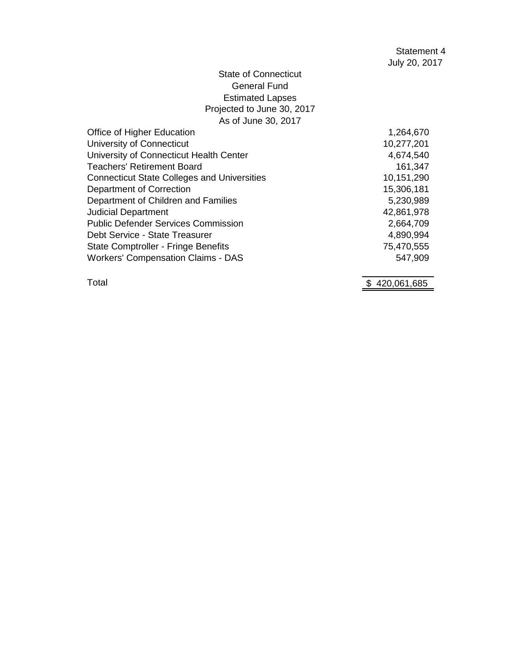# State of Connecticut General Fund Estimated Lapses Projected to June 30, 2017 As of June 30, 2017

| Office of Higher Education                         | 1,264,670  |
|----------------------------------------------------|------------|
| University of Connecticut                          | 10,277,201 |
| University of Connecticut Health Center            | 4,674,540  |
| <b>Teachers' Retirement Board</b>                  | 161,347    |
| <b>Connecticut State Colleges and Universities</b> | 10,151,290 |
| <b>Department of Correction</b>                    | 15,306,181 |
| Department of Children and Families                | 5,230,989  |
| <b>Judicial Department</b>                         | 42,861,978 |
| <b>Public Defender Services Commission</b>         | 2,664,709  |
| Debt Service - State Treasurer                     | 4,890,994  |
| <b>State Comptroller - Fringe Benefits</b>         | 75,470,555 |
| <b>Workers' Compensation Claims - DAS</b>          | 547,909    |
|                                                    |            |

Total \$420,061,685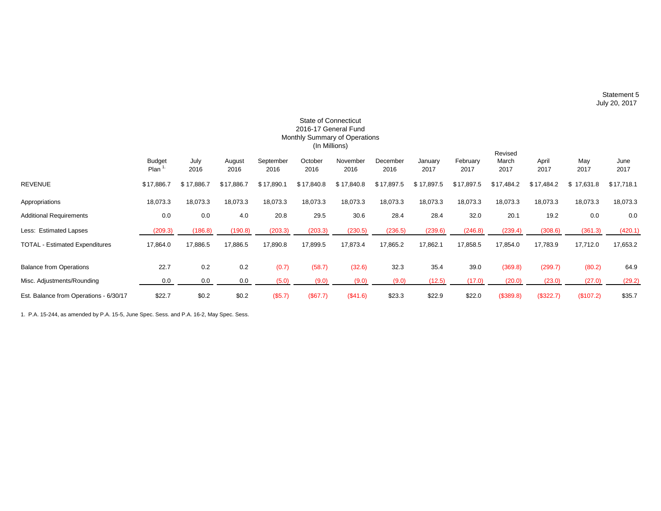Statement 5 July 20, 2017

|                                        |                       |              |                |                   | 2016-17 General Fund<br>(In Millions) | <b>State of Connecticut</b><br>Monthly Summary of Operations |                  |                 |                  |                          |               |             |              |
|----------------------------------------|-----------------------|--------------|----------------|-------------------|---------------------------------------|--------------------------------------------------------------|------------------|-----------------|------------------|--------------------------|---------------|-------------|--------------|
|                                        | <b>Budget</b><br>Plan | July<br>2016 | August<br>2016 | September<br>2016 | October<br>2016                       | November<br>2016                                             | December<br>2016 | January<br>2017 | February<br>2017 | Revised<br>March<br>2017 | April<br>2017 | May<br>2017 | June<br>2017 |
| <b>REVENUE</b>                         | \$17,886.7            | \$17,886.7   | \$17,886.7     | \$17,890.1        | \$17,840.8                            | \$17,840.8                                                   | \$17,897.5       | \$17,897.5      | \$17,897.5       | \$17,484.2               | \$17,484.2    | \$17,631.8  | \$17,718.1   |
| Appropriations                         | 18,073.3              | 18,073.3     | 18,073.3       | 18,073.3          | 18,073.3                              | 18,073.3                                                     | 18,073.3         | 18,073.3        | 18,073.3         | 18,073.3                 | 18,073.3      | 18,073.3    | 18,073.3     |
| <b>Additional Requirements</b>         | 0.0                   | 0.0          | 4.0            | 20.8              | 29.5                                  | 30.6                                                         | 28.4             | 28.4            | 32.0             | 20.1                     | 19.2          | 0.0         | 0.0          |
| Less: Estimated Lapses                 | (209.3)               | (186.8)      | (190.8)        | (203.3)           | (203.3)                               | (230.5)                                                      | (236.5)          | (239.6)         | (246.8)          | (239.4)                  | (308.6)       | (361.3)     | (420.1)      |
| <b>TOTAL - Estimated Expenditures</b>  | 17,864.0              | 17,886.5     | 17,886.5       | 17,890.8          | 17,899.5                              | 17,873.4                                                     | 17,865.2         | 17,862.1        | 17,858.5         | 17,854.0                 | 17,783.9      | 17,712.0    | 17,653.2     |
| <b>Balance from Operations</b>         | 22.7                  | 0.2          | 0.2            | (0.7)             | (58.7)                                | (32.6)                                                       | 32.3             | 35.4            | 39.0             | (369.8)                  | (299.7)       | (80.2)      | 64.9         |
| Misc. Adjustments/Rounding             | 0.0                   | 0.0          | 0.0            | (5.0)             | (9.0)                                 | (9.0)                                                        | (9.0)            | (12.5)          | (17.0)           | (20.0)                   | (23.0)        | (27.0)      | (29.2)       |
| Est. Balance from Operations - 6/30/17 | \$22.7                | \$0.2        | \$0.2          | (\$5.7)           | (\$67.7)                              | (\$41.6)                                                     | \$23.3           | \$22.9          | \$22.0           | (\$389.8)                | (\$322.7)     | (\$107.2)   | \$35.7       |

1. P.A. 15-244, as amended by P.A. 15-5, June Spec. Sess. and P.A. 16-2, May Spec. Sess.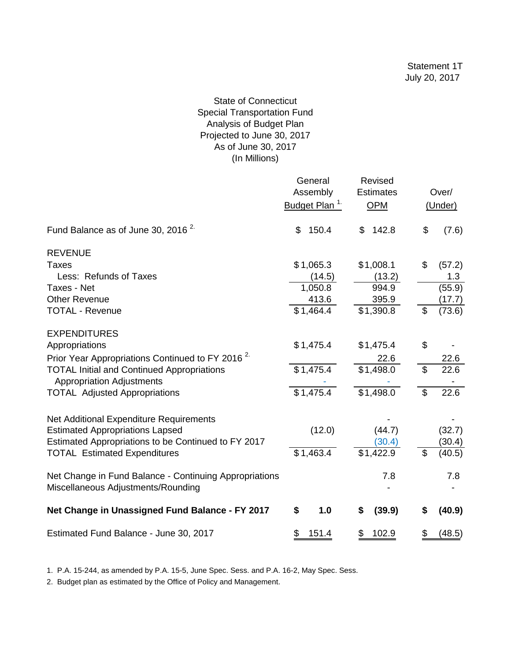## State of Connecticut Special Transportation Fund Analysis of Budget Plan Projected to June 30, 2017 As of June 30, 2017 (In Millions)

|                                                                                       | General<br>Assembly<br>Budget Plan <sup>1.</sup> | Revised<br><b>Estimates</b><br><b>OPM</b> |                | Over/<br>(Under) |
|---------------------------------------------------------------------------------------|--------------------------------------------------|-------------------------------------------|----------------|------------------|
| Fund Balance as of June 30, 2016 <sup>2.</sup>                                        | 150.4<br>\$                                      | 142.8<br>\$                               | \$             | (7.6)            |
| <b>REVENUE</b>                                                                        |                                                  |                                           |                |                  |
| Taxes                                                                                 | \$1,065.3                                        | \$1,008.1                                 | \$             | (57.2)           |
| Less: Refunds of Taxes                                                                | (14.5)                                           | (13.2)                                    |                | 1.3              |
| Taxes - Net                                                                           | 1,050.8                                          | 994.9                                     |                | (55.9)           |
| <b>Other Revenue</b>                                                                  | 413.6                                            | 395.9                                     |                | (17.7)           |
| <b>TOTAL - Revenue</b>                                                                | \$1,464.4                                        | \$1,390.8                                 | \$             | (73.6)           |
| <b>EXPENDITURES</b>                                                                   |                                                  |                                           |                |                  |
| Appropriations                                                                        | \$1,475.4                                        | \$1,475.4                                 | \$             |                  |
| Prior Year Appropriations Continued to FY 2016 <sup>2.</sup>                          |                                                  | 22.6                                      |                | 22.6             |
| <b>TOTAL Initial and Continued Appropriations</b><br><b>Appropriation Adjustments</b> | \$1,475.4                                        | \$1,498.0                                 | $\mathfrak{S}$ | 22.6             |
| <b>TOTAL Adjusted Appropriations</b>                                                  | \$1,475.4                                        | \$1,498.0                                 | $\mathfrak{S}$ | 22.6             |
| Net Additional Expenditure Requirements                                               |                                                  |                                           |                |                  |
| <b>Estimated Appropriations Lapsed</b>                                                | (12.0)                                           | (44.7)                                    |                | (32.7)           |
| Estimated Appropriations to be Continued to FY 2017                                   |                                                  | (30.4)                                    |                | (30.4)           |
| <b>TOTAL Estimated Expenditures</b>                                                   | \$1,463.4                                        | \$1,422.9                                 | \$             | (40.5)           |
| Net Change in Fund Balance - Continuing Appropriations                                |                                                  | 7.8                                       |                | 7.8              |
| Miscellaneous Adjustments/Rounding                                                    |                                                  |                                           |                |                  |
| Net Change in Unassigned Fund Balance - FY 2017                                       | \$<br>1.0                                        | (39.9)<br>\$                              | S              | (40.9)           |
| Estimated Fund Balance - June 30, 2017                                                | \$<br>151.4                                      | 102.9<br>\$                               | \$             | (48.5)           |

1. P.A. 15-244, as amended by P.A. 15-5, June Spec. Sess. and P.A. 16-2, May Spec. Sess.

2. Budget plan as estimated by the Office of Policy and Management.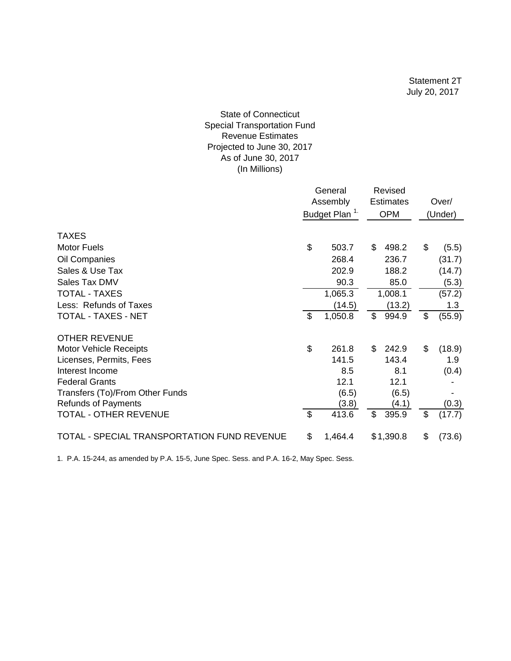#### As of June 30, 2017 (In Millions) State of Connecticut Special Transportation Fund Revenue Estimates Projected to June 30, 2017

|                                             |                           | General<br>Assembly<br>Budget Plan <sup>1.</sup> | Revised<br><b>Estimates</b><br><b>OPM</b> | Over/<br>(Under) |  |
|---------------------------------------------|---------------------------|--------------------------------------------------|-------------------------------------------|------------------|--|
| <b>TAXES</b>                                |                           |                                                  |                                           |                  |  |
| <b>Motor Fuels</b>                          | \$                        | 503.7                                            | \$<br>498.2                               | \$<br>(5.5)      |  |
| Oil Companies                               |                           | 268.4                                            | 236.7                                     | (31.7)           |  |
| Sales & Use Tax                             |                           | 202.9                                            | 188.2                                     | (14.7)           |  |
| Sales Tax DMV                               |                           | 90.3                                             | 85.0                                      | (5.3)            |  |
| <b>TOTAL - TAXES</b>                        |                           | 1,065.3                                          | 1,008.1                                   | (57.2)           |  |
| Less: Refunds of Taxes                      |                           | (14.5)                                           | (13.2)                                    | 1.3              |  |
| TOTAL - TAXES - NET                         | \$                        | 1,050.8                                          | \$<br>994.9                               | \$<br>(55.9)     |  |
| <b>OTHER REVENUE</b>                        |                           |                                                  |                                           |                  |  |
| Motor Vehicle Receipts                      | \$                        | 261.8                                            | \$<br>242.9                               | \$<br>(18.9)     |  |
| Licenses, Permits, Fees                     |                           | 141.5                                            | 143.4                                     | 1.9              |  |
| Interest Income                             |                           | 8.5                                              | 8.1                                       | (0.4)            |  |
| <b>Federal Grants</b>                       |                           | 12.1                                             | 12.1                                      |                  |  |
| Transfers (To)/From Other Funds             |                           | (6.5)                                            | (6.5)                                     |                  |  |
| <b>Refunds of Payments</b>                  |                           | (3.8)                                            | (4.1)                                     | (0.3)            |  |
| TOTAL - OTHER REVENUE                       | $\boldsymbol{\mathsf{S}}$ | 413.6                                            | \$<br>395.9                               | \$<br>(17.7)     |  |
| TOTAL - SPECIAL TRANSPORTATION FUND REVENUE | \$                        | 1,464.4                                          | \$1,390.8                                 | \$<br>(73.6)     |  |

1. P.A. 15-244, as amended by P.A. 15-5, June Spec. Sess. and P.A. 16-2, May Spec. Sess.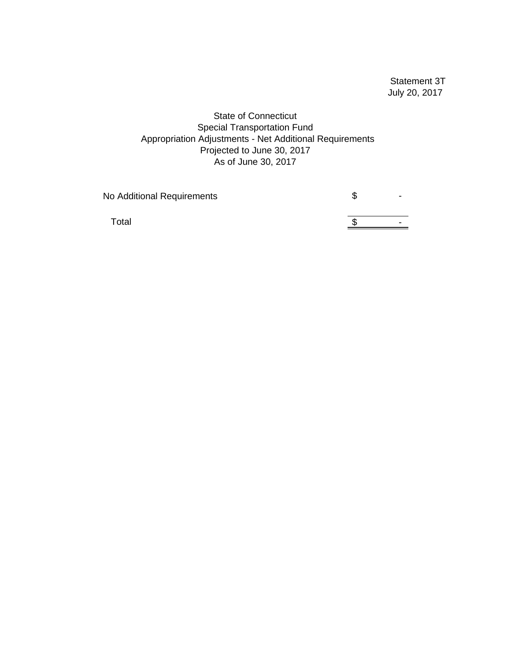Statement 3T July 20, 2017

State of Connecticut Special Transportation Fund Appropriation Adjustments - Net Additional Requirements Projected to June 30, 2017 As of June 30, 2017

No Additional Requirements **Access 19 System** Section 4.5 August 2.5 August 2.5 August 2.5 August 2.5 August 2.5 August 2.5 August 2.7 August 2.7 August 2.7 August 2.7 August 2.7 August 2.7 August 2.7 August 2.7 August 2.7

Total  $\frac{1}{\sqrt{2}}$  -  $\frac{1}{\sqrt{2}}$  -  $\frac{1}{\sqrt{2}}$  -  $\frac{1}{\sqrt{2}}$  -  $\frac{1}{\sqrt{2}}$  -  $\frac{1}{\sqrt{2}}$  -  $\frac{1}{\sqrt{2}}$  -  $\frac{1}{\sqrt{2}}$  -  $\frac{1}{\sqrt{2}}$  -  $\frac{1}{\sqrt{2}}$  -  $\frac{1}{\sqrt{2}}$  -  $\frac{1}{\sqrt{2}}$  -  $\frac{1}{\sqrt{2}}$  -  $\frac{1}{\sqrt{2}}$  -  $\frac{1$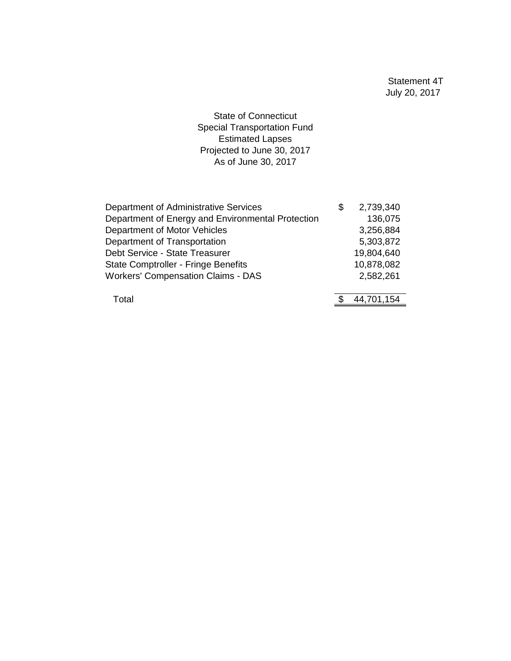State of Connecticut Special Transportation Fund Estimated Lapses Projected to June 30, 2017 As of June 30, 2017

| Department of Administrative Services             | S | 2,739,340  |
|---------------------------------------------------|---|------------|
| Department of Energy and Environmental Protection |   | 136,075    |
| Department of Motor Vehicles                      |   | 3,256,884  |
| Department of Transportation                      |   | 5,303,872  |
| Debt Service - State Treasurer                    |   | 19,804,640 |
| <b>State Comptroller - Fringe Benefits</b>        |   | 10,878,082 |
| <b>Workers' Compensation Claims - DAS</b>         |   | 2,582,261  |
|                                                   |   |            |
| Total                                             |   | 44,701,154 |